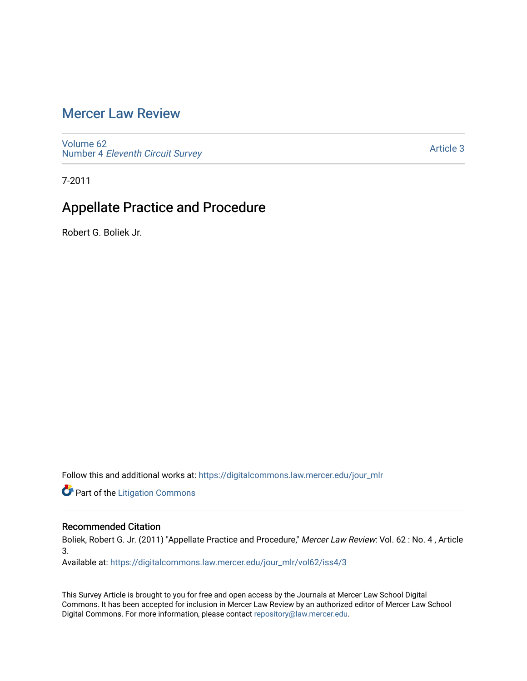# [Mercer Law Review](https://digitalcommons.law.mercer.edu/jour_mlr)

[Volume 62](https://digitalcommons.law.mercer.edu/jour_mlr/vol62) Number 4 [Eleventh Circuit Survey](https://digitalcommons.law.mercer.edu/jour_mlr/vol62/iss4) 

[Article 3](https://digitalcommons.law.mercer.edu/jour_mlr/vol62/iss4/3) 

7-2011

# Appellate Practice and Procedure

Robert G. Boliek Jr.

Follow this and additional works at: [https://digitalcommons.law.mercer.edu/jour\\_mlr](https://digitalcommons.law.mercer.edu/jour_mlr?utm_source=digitalcommons.law.mercer.edu%2Fjour_mlr%2Fvol62%2Fiss4%2F3&utm_medium=PDF&utm_campaign=PDFCoverPages)

**Part of the [Litigation Commons](http://network.bepress.com/hgg/discipline/910?utm_source=digitalcommons.law.mercer.edu%2Fjour_mlr%2Fvol62%2Fiss4%2F3&utm_medium=PDF&utm_campaign=PDFCoverPages)** 

## Recommended Citation

Boliek, Robert G. Jr. (2011) "Appellate Practice and Procedure," Mercer Law Review: Vol. 62 : No. 4 , Article 3.

Available at: [https://digitalcommons.law.mercer.edu/jour\\_mlr/vol62/iss4/3](https://digitalcommons.law.mercer.edu/jour_mlr/vol62/iss4/3?utm_source=digitalcommons.law.mercer.edu%2Fjour_mlr%2Fvol62%2Fiss4%2F3&utm_medium=PDF&utm_campaign=PDFCoverPages)

This Survey Article is brought to you for free and open access by the Journals at Mercer Law School Digital Commons. It has been accepted for inclusion in Mercer Law Review by an authorized editor of Mercer Law School Digital Commons. For more information, please contact [repository@law.mercer.edu](mailto:repository@law.mercer.edu).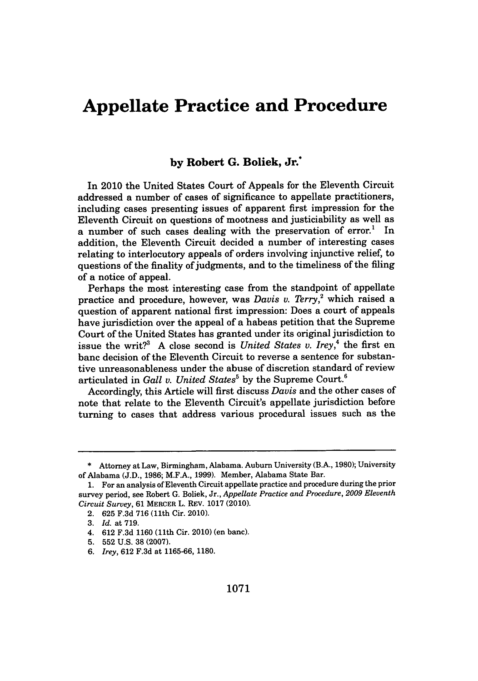# **Appellate Practice and Procedure**

## **by Robert G. Boliek, Jr.\***

In 2010 the United States Court of Appeals for the Eleventh Circuit addressed a number of cases of significance to appellate practitioners, including cases presenting issues of apparent first impression for the Eleventh Circuit on questions of mootness and justiciability as well as a number of such cases dealing with the preservation of error.' In addition, the Eleventh Circuit decided a number of interesting cases relating to interlocutory appeals of orders involving injunctive relief, to questions of the finality of judgments, and to the timeliness of the filing of a notice of appeal.

Perhaps the most interesting case from the standpoint of appellate practice and procedure, however, was *Davis v. Terry*,<sup>2</sup> which raised a question of apparent national first impression: Does a court of appeals have jurisdiction over the appeal of a habeas petition that the Supreme Court of the United States has granted under its original jurisdiction to issue the writ?<sup>3</sup> A close second is *United States v. Irey*,<sup>4</sup> the first en banc decision of the Eleventh Circuit to reverse a sentence for substantive unreasonableness under the abuse of discretion standard of review articulated in *Gall v. United States*<sup>5</sup> by the Supreme Court.<sup>6</sup>

Accordingly, this Article will first discuss *Davis* and the other cases of note that relate to the Eleventh Circuit's appellate jurisdiction before turning to cases that address various procedural issues such as the

**<sup>\*</sup>** Attorney at Law, Birmingham, Alabama. Auburn University (B.A., **1980);** University of Alabama **(J.D., 1986;** M.F.A., **1999).** Member, Alabama State Bar.

**<sup>1.</sup>** For an analysis of Eleventh Circuit appellate practice and procedure during the prior survey period, see Robert **G.** Boliek, *Jr., Appellate Practice and Procedure, 2009 Eleventh Circuit Survey,* **61** MERCER L. REV. **1017** (2010).

<sup>2.</sup> **625 F.3d 716** (11th Cir. 2010).

**<sup>3.</sup>** *Id.* at **719.**

<sup>4.</sup> **612 F.3d 1160** (11th Cir. 2010) (en banc).

**<sup>5. 552</sup> U.S. 38 (2007).**

**<sup>6.</sup>** *Irey,* **612 F.3d** at **1165-66, 1180.**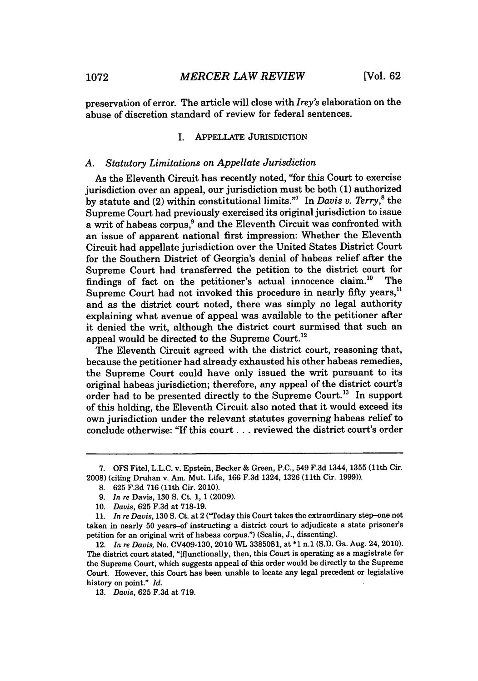preservation of error. The article will close with *Irey's* elaboration on the abuse of discretion standard of review for federal sentences.

### I. **APPELLATE** JURISDICTION

### *A. Statutory Limitations on Appellate Jurisdiction*

As the Eleventh Circuit has recently noted, "for this Court to exercise jurisdiction over an appeal, our jurisdiction must be both **(1)** authorized **by** statute and (2) within constitutional limits."' In *Davis v. Terry,'* the Supreme Court had previously exercised its original jurisdiction to issue a writ of habeas corpus,<sup>9</sup> and the Eleventh Circuit was confronted with an issue of apparent national first impression: Whether the Eleventh Circuit had appellate jurisdiction over the United States District Court for the Southern District of Georgia's denial of habeas relief after the Supreme Court had transferred the petition to the district court for findings of fact on the petitioner's actual innocence claim.<sup>10</sup> The findings of fact on the petitioner's actual innocence claim.<sup>10</sup> Supreme Court had not invoked this procedure in nearly fifty years.<sup>11</sup> and as the district court noted, there was simply no legal authority explaining what avenue of appeal was available to the petitioner after it denied the writ, although the district court surmised that such an appeal would be directed to the Supreme Court.<sup>12</sup>

The Eleventh Circuit agreed with the district court, reasoning that, because the petitioner had already exhausted his other habeas remedies, the Supreme Court could have only issued the writ pursuant to its original habeas jurisdiction; therefore, any appeal of the district court's order had to be presented directly to the Supreme Court.<sup>13</sup> In support of this holding, the Eleventh Circuit also noted that it would exceed its own jurisdiction under the relevant statutes governing habeas relief to conclude otherwise: "If this court **. ..** reviewed the district court's order

**<sup>7.</sup>** OFS Fitel, L.L.C. v. Epstein, Becker & Green, **P.C., 549 F.3d** 1344, 1355 (11th Cir. **2008)** (citing Druhan v. *Am.* Mut. Life, **166 F.3d** 1324, **1326 (11th** Cir. **1999)).**

**<sup>8. 625</sup> F.3d 716** (11th Cir. 2010).

**<sup>9.</sup>** *In re* Davis, **130 S.** Ct. **1, 1 (2009).**

*<sup>10.</sup> Davis,* **625 F.3d** at **718-19.**

*<sup>11.</sup> In re Davis,* **130 S.** Ct. at 2 ("Today this Court takes the extraordinary step-one not taken in nearly **50** years-of instructing a district court to adjudicate a state prisoner's petition for an original writ of habeas corpus.") (Scalia, **J.,** dissenting).

<sup>12.</sup> *In re Davis,* No. CV409-130, 2010 WL **3385081,** at **\*1** n.1 **(S.D.** Ga. Aug. 24, 2010). The district court stated, "[flunctionally, then, this Court is operating as a magistrate for the Supreme Court, which suggests appeal of this order would be directly to the Supreme Court. However, this Court has been unable to locate any legal precedent or legislative history on point." *Id.*

*<sup>13.</sup> Davis,* **625 F.3d** at **719.**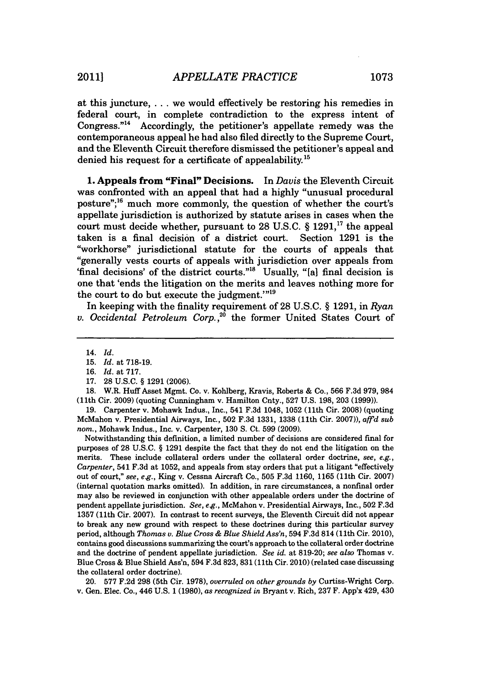at this juncture,... we would effectively be restoring his remedies in federal court, in complete contradiction to the express intent of Congress."<sup>14</sup> Accordingly, the petitioner's appellate remedy was the contemporaneous appeal he had also filed directly to the Supreme Court, and the Eleventh Circuit therefore dismissed the petitioner's appeal and denied his request for a certificate of appealability.<sup>15</sup>

**1. Appeals from "Final" Decisions. In** *Davis* the Eleventh Circuit was confronted with an appeal that had a **highly** "unusual procedural posture";<sup>16</sup> much more commonly, the question of whether the court's appellate jurisdiction is authorized **by** statute arises in cases when the court must decide whether, pursuant to **28 U.S.C.** *§* **1291,"** the appeal taken is a final decision of a district court. Section **1291** is the "workhorse" jurisdictional statute for the courts of appeals that "generally vests courts of appeals with jurisdiction over appeals from 'final decisions' of the district courts."<sup>18</sup> Usually, "[a] final decision is one that 'ends the litigation on the merits and leaves nothing more for the court to do but execute the judgment."<sup>19</sup>

In keeping with the finality requirement of **28 U.S.C.** *§* **1291,** in *Ryan v. Occidental Petroleum Corp.,20* the former United States Court of

**19.** Carpenter v. Mohawk Indus., Inc., 541 **F.3d** 1048, 1052 (11th Cir. **2008)** (quoting McMahon v. Presidential Airways, Inc., **502 F.3d 1331, 1338** (11th Cir. **2007)),** *affd sub nom.,* Mohawk Indus., Inc. v. Carpenter, **130 S.** Ct. **599 (2009).**

Notwithstanding this definition, a limited number of decisions are considered final for purposes of **28 U.S.C.** *§* **1291** despite the fact that they do not end the litigation on the merits. These include collateral orders under the collateral order doctrine, *see, e.g., Carpenter,* 541 **F.3d** at **1052,** and appeals from stay orders that put a litigant "effectively out of court," *see, eg.,* King v. Cessna Aircraft Co., **505 F.3d 1160, 1165** (11th Cir. **2007)** (internal quotation marks omitted). In addition, in rare circumstances, a nonfinal order may also be reviewed in conjunction with other appealable orders under the doctrine of pendent appellate jurisdiction. *See, eg.,* McMahon v. Presidential Airways, Inc., **502 F.3d 1357** (11th Cir. **2007).** In contrast to recent surveys, the Eleventh Circuit did not appear to break any new ground with respect to these doctrines during this particular survey period, although *Thomas v. Blue Cross & Blue Shield Ass'n,* 594 **F.3d** 814 **(11th** Cir. 2010), contains good discussions summarizing the court's approach to the collateral order doctrine and the doctrine of pendent appellate jurisdiction. *See id.* at **819-20;** *see also* Thomas v. Blue Cross *&* Blue Shield Ass'n, 594 **F.3d 823, 831 (11th** Cir. 2010) (related case discussing the collateral order doctrine).

20. **577 F.2d 298** (5th Cir. **1978),** *overruled on other grounds by* Curtiss-Wright Corp. v. Gen. Elec. Co., 446 **U.S. 1 (1980),** *as recognized in* Bryant v. Rich, **237** F. App'x 429, 430

<sup>14.</sup> *Id.*

**<sup>15.</sup>** *Id.* at **718-19.**

**<sup>16.</sup>** *Id.* at **717.**

**<sup>17. 28</sup> U.S.C. § 1291 (2006).**

**<sup>18.</sup>** W.R. Huff Asset Mgmt. Co. v. Kohlberg, Kravis, Roberts **&** Co., **566 F.3d 979, 984** (11th Cir. **2009)** (quoting Cunningham v. Hamilton Cnty., **527 U.S. 198, 203 (1999)).**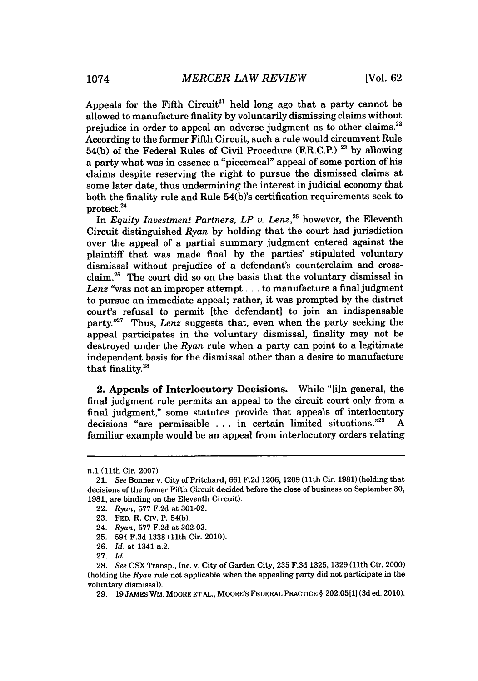Appeals for the Fifth Circuit<sup>21</sup> held long ago that a party cannot be allowed to manufacture finality **by** voluntarily dismissing claims without prejudice in order to appeal an adverse judgment as to other claims.<sup>22</sup> According to the former Fifth Circuit, such a rule would circumvent Rule 54(b) of the Federal Rules of Civil Procedure (F.R.C.P.) **23 by** allowing a party what was in essence a "piecemeal" appeal of some portion of his claims despite reserving the right to pursue the dismissed claims at some later date, thus undermining the interest in judicial economy that both the finality rule and Rule 54(b)'s certification requirements seek to protect.<sup>24</sup>

In *Equity Investment Partners, LP v. Lenz,"* however, the Eleventh Circuit distinguished *Ryan* **by** holding that the court had jurisdiction over the appeal of a partial summary judgment entered against the plaintiff that was made final **by** the parties' stipulated voluntary dismissal without prejudice of a defendant's counterclaim and crossclaim.<sup>26</sup> The court did so on the basis that the voluntary dismissal in *Lenz* "was not an improper attempt **...** to manufacture a final judgment to pursue an immediate appeal; rather, it was prompted **by** the district court's refusal to permit [the defendant] to join an indispensable party."<sup>27</sup> Thus, *Lenz* suggests that, even when the party seeking the appeal participates in the voluntary dismissal, finality may not be destroyed under the *Ryan* rule when a party can point to a legitimate independent basis for the dismissal other than a desire to manufacture that finality.28

2. Appeals of Interlocutory Decisions. While "[i]n general, the final judgment rule permits an appeal to the circuit court only from a final judgment," some statutes provide that appeals of interlocutory decisions "are permissible **.** . **.** in certain limited situations." **A** familiar example would be an appeal from interlocutory orders relating

n.1 (11th Cir. **2007).**

*<sup>21.</sup> See* Bonner v. City of Pritchard, **661 F.2d 1206, 1209** (11th Cir. **1981)** (holding that decisions of the former Fifth Circuit decided before the close of business on September **30, 1981,** are binding on the Eleventh Circuit).

<sup>22.</sup> *Ryan,* **577 F.2d** at **301-02.**

**<sup>23.</sup> FED.** R. Civ. P. 54(b).

<sup>24.</sup> *Ryan,* **577 F.2d** at **302-03.**

**<sup>25.</sup>** 594 **F.3d 1338** (11th Cir. 2010).

**<sup>26.</sup>** *Id.* at 1341 n.2.

**<sup>27.</sup>** *Id.*

**<sup>28.</sup>** *See* **CSX** Transp., Inc. v. City of Garden City, **235 F.3d 1325, 1329** (11th Cir. 2000) (holding the *Ryan* rule not applicable when the appealing party did not participate in the voluntary dismissal).

**<sup>29. 19</sup> JAMES** WM. MOORE **ET AL., MOORE'S FEDERAL PRACTICE § 202.0511] (3d** ed. 2010).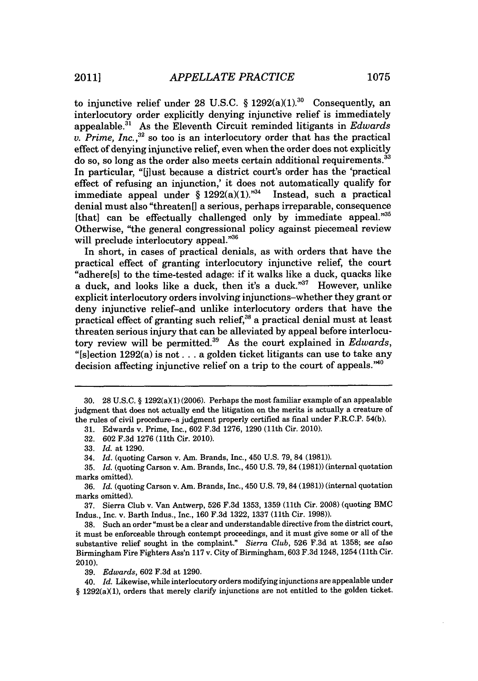to injunctive relief under 28 U.S.C.  $\S 1292(a)(1).^{30}$  Consequently, an interlocutory order explicitly denying injunctive relief is immediately appealable.<sup>31</sup> As the Eleventh Circuit reminded litigants in *Edwards v. Prime, Inc.,"* so too is an interlocutory order that has the practical effect of denying injunctive relief, even when the order does not explicitly do so, so long as the order also meets certain additional requirements.<sup>33</sup> In particular, "jlust because a district court's order has the 'practical effect of refusing an injunction,' it does not automatically qualify for immediate appeal under  $\frac{6}{3}$  1292(a)(1).<sup>734</sup> Instead, such a practical denial must also "threaten[] a serious, perhaps irreparable, consequence [that] can be effectually challenged only **by** immediate appeal."35 Otherwise, "the general congressional policy against piecemeal review will preclude interlocutory appeal."<sup>36</sup>

In short, in cases of practical denials, as with orders that have the practical effect of granting interlocutory injunctive relief, the court "adhere[s] to the time-tested adage: if it walks like a duck, quacks like a duck, and looks like a duck, then it's a duck." $37$  However, unlike explicit interlocutory orders involving injunctions-whether they grant or deny injunctive relief-and unlike interlocutory orders that have the practical effect of granting such relief, $38$  a practical denial must at least threaten serious injury that can be alleviated **by** appeal before interlocutory review will be permitted.<sup>39</sup> As the court explained in *Edwards*, "[slection 1292(a) is not **...** a golden ticket litigants can use to take any decision affecting injunctive relief on a trip to the court of appeals. $^{40}$ 

**37.** Sierra Club v. Van Antwerp, **526 F.3d 1353, 1359** (11th Cir. **2008)** (quoting BMC Indus., Inc. v. Barth Indus., Inc., **160 F.3d 1322, 1337** (11th Cir. **1998)).**

**38.** Such an order "must **be** a clear and understandable directive from the district court, it must be enforceable through contempt proceedings, and it must give some or all of the substantive relief sought in the complaint." *Sierra Club,* **526 F.3d** at **1358;** see *also* Birmingham Fire Fighters Ass'n **117** v. City of Birmingham, **603 F.3d** 1248, 1254 (11th Cir. 2010).

*39. Edwards,* **602 F.3d** at **1290.**

40. *Id.* Likewise, while interlocutory orders modifying injunctions are appealable under § 1292(a)(1), orders that merely clarify injunctions are not entitled to the golden ticket.

**<sup>30. 28</sup> U.S.C. §** 1292(a)(1) **(2006).** Perhaps the most familiar example of an appealable judgment that does not actually end the litigation on the merits is actually a creature of the rules of civil procedure-a judgment properly certified as final under F.R.C.P. 54(b).

**<sup>31.</sup>** Edwards v. Prime, Inc., **602 F.3d 1276, 1290** (11th Cir. 2010).

**<sup>32. 602</sup> F.3d 1276** (11th Cir. 2010).

**<sup>33.</sup>** *Id.* at **1290.**

<sup>34.</sup> *Id.* (quoting Carson v. Am. Brands, Inc., 450 **U.S. 79, 84 (1981)).**

**<sup>35.</sup>** *Id.* (quoting Carson v. Am. Brands, Inc., 450 **U.S. 79, 84 (1981))** (internal quotation marks omitted).

**<sup>36.</sup>** *Id.* (quoting Carson v. Am. Brands, Inc., 450 **U.S. 79,84 (1981))** (internal quotation marks omitted).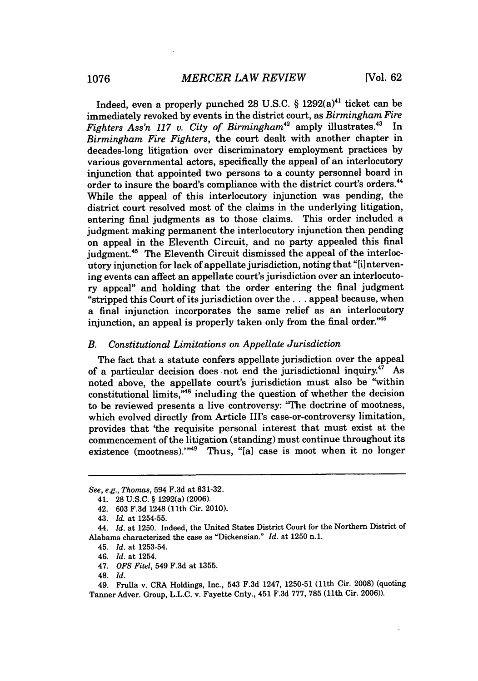Indeed, even a properly punched **28 U.S.C.** *§* 1292(a)41 ticket can be immediately revoked **by** events in the district court, as *Birmingham Fire Fighters Ass'n 117 v. City of Birmingham*<sup>42</sup> amply illustrates.<sup>43</sup> In *Birmingham Fire Fighters,* the court dealt with another chapter in decades-long litigation over discriminatory employment practices **by** various governmental actors, specifically the appeal of an interlocutory injunction that appointed two persons to a county personnel board in order to insure the board's compliance with the district court's orders.<sup>44</sup> *While* the appeal of this interlocutory injunction was pending, the district court resolved most of the claims in the underlying litigation, entering final judgments as to those claims. This order included a judgment making permanent the interlocutory injunction then pending on appeal in the Eleventh Circuit, and no party appealed this final judgment.<sup>45</sup> The Eleventh Circuit dismissed the appeal of the interlocutory injunction for lack of appellate jurisdiction, noting that "[i]ntervening events can affect an appellate court's jurisdiction over an interlocutory appeal" and holding that the order entering the final judgment "stripped this Court of its jurisdiction over the **. ..** appeal because, when a final injunction incorporates the same relief as an interlocutory injunction, an appeal is properly taken only from the final order."<sup>46</sup>

## *B. Constitutional Limitations on Appellate Jurisdiction*

The fact that a statute confers appellate jurisdiction over the appeal of a particular decision does not end the jurisdictional inquiry.<sup>47</sup> As noted above, the appellate court's jurisdiction must also be "within constitutional limits, $\overset{m}{\phantom{m}}^{48}$  including the question of whether the decision to be reviewed presents a live controversy: "The doctrine of mootness, which evolved directly from Article III's case-or-controversy limitation, provides that 'the requisite personal interest that must exist at the commencement of the litigation (standing) must continue throughout its existence (mootness)." $49$  Thus, "[a] case is moot when it no longer

*See, e.g., Thomas,* 594 **F.3d** at **831-32.**

<sup>41.</sup> **28 U.S.C. §** 1292(a) **(2006).**

<sup>42.</sup> **603 F.3d** 1248 (11th Cir. 2010).

<sup>43.</sup> *Id. at* **1254-55.**

<sup>44.</sup> *Id.* at **1250.** Indeed, the United States District Court for the Northern District of Alabama characterized the case as "Dickensian." *Id.* at **1250** n.1.

<sup>45.</sup> *Id.* at **1253-54.**

<sup>46.</sup> *Id.* at 1254.

<sup>47.</sup> *OFS Fitel,* 549 **F.3d** at **1355.**

<sup>48.</sup> *Id.*

<sup>49.</sup> Frulla v. CRA Holdings, Inc., 543 **F.3d** 1247, **1250-51** (11th Cir. **2008)** (quoting Tanner Adver. Group, **L.L.C.** v. Fayette Cnty., 451 **F.3d 777, 785** (11th Cir. **2006)).**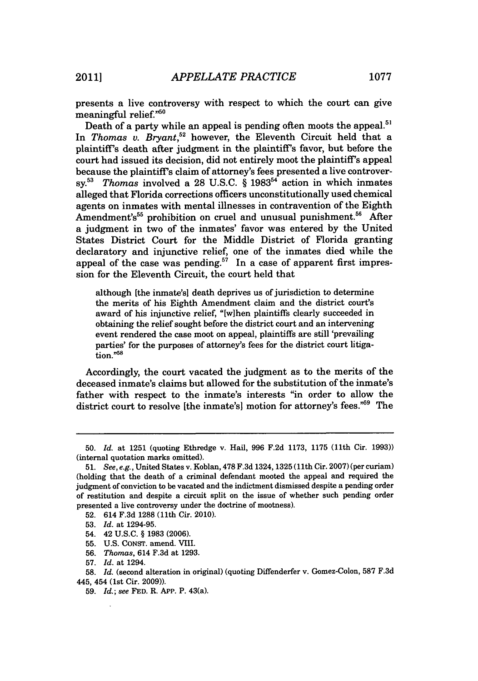presents a live controversy with respect to which the court can give meaningful relief."50

Death of a party while an appeal is pending often moots the appeal.<sup>51</sup> In Thomas v. Bryant,<sup>52</sup> however, the Eleventh Circuit held that a plaintiff's death after judgment in the plaintiff's favor, but before the court had issued its decision, did not entirely moot the plaintiff's appeal because the plaintiff's claim of attorney's fees presented a live controver**sy.<sup>53</sup>***Thomas* involved a **28 U.S.C.** *§* **1983"** action in which inmates alleged that Florida corrections officers unconstitutionally used chemical agents on inmates with mental illnesses in contravention of the Eighth Amendment's<sup>55</sup> prohibition on cruel and unusual punishment.<sup>56</sup> After a judgment in two of the inmates' favor was entered **by** the United States District Court for the Middle District of Florida granting declaratory and injunctive relief, one of the inmates died while the appeal of the case was pending.<sup>57</sup> In a case of apparent first impression for the Eleventh Circuit, the court held that

although [the inmate's] death deprives us of jurisdiction to determine the merits of his Eighth Amendment claim and the district court's award of his injunctive relief, "[wihen plaintiffs clearly succeeded in obtaining the relief sought before the district court and an intervening event rendered the case moot on appeal, plaintiffs are still 'prevailing parties' for the purposes of attorney's fees for the district court litigation."58

Accordingly, the court vacated the judgment as to the merits of the deceased inmate's claims but allowed for the substitution of the inmate's father with respect to the inmate's interests "in order to allow the district court to resolve [the inmate's] motion for attorney's fees."<sup>59</sup> The

**<sup>50.</sup>** *Id.* at **1251** (quoting Ethredge v. Hail, **996 F.2d 1173, 1175** (11th Cir. **1993))** (internal quotation marks omitted).

*<sup>51.</sup>* See, e.g., United States v. Koblan, **478 F.3d** 1324, 1325 (11th Cir. **2007)** (per curiam) (holding that the death of a criminal defendant mooted the appeal and required the judgment of conviction to be vacated and the indictment dismissed despite a pending order of restitution and despite a circuit split on the issue of whether such pending order presented a live controversy under the doctrine of mootness).

**<sup>52.</sup>** 614 **F.3d 1288** (11th Cir. 2010).

**<sup>53.</sup>** *Id.* at 1294-95.

<sup>54. 42</sup> **U.S.C. § 1983 (2006).**

**<sup>55.</sup> U.S. CONST.** amend. VIII.

**<sup>56.</sup>** *Thomas,* 614 **F.3d** at **1293.**

**<sup>57.</sup>** *Id.* at 1294.

**<sup>58.</sup>** *Id.* (second alteration in original) (quoting Diffenderfer v. Gomez-Colon, **587 F.3d** 445, 454 (1st Cir. **2009)).**

**<sup>59.</sup>** *Id.; see* **FED.** R. **App.** P. 43(a).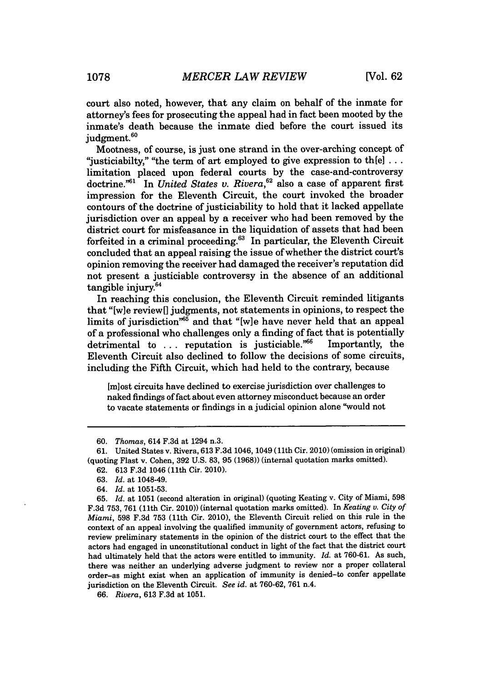court also noted, however, that any claim on behalf of the inmate for attorney's fees for prosecuting the appeal had in fact been mooted **by** the inmate's death because the inmate died before the court issued its judgment.<sup>60</sup>

Mootness, of course, is just one strand in the over-arching concept **of** "justiciabilty," "the term of art employed to give expression to th[e] **...** limitation placed upon federal courts **by** the case-and-controversy doctrine.<sup>"61</sup> In *United States v. Rivera*,<sup>62</sup> also a case of apparent first impression for the Eleventh Circuit, the court invoked the broader contours of the doctrine of justiciability to hold that it lacked appellate jurisdiction over an appeal **by** a receiver who had been removed **by** the district court for misfeasance in the liquidation of assets that had been forfeited in a criminal proceeding. $63$  In particular, the Eleventh Circuit concluded that an appeal raising the issue of whether the district court's opinion removing the receiver had damaged the receiver's reputation did not present a justiciable controversy in the absence of an additional tangible injury.<sup>64</sup>

In reaching this conclusion, the Eleventh Circuit reminded litigants that "[wie review[] judgments, not statements in opinions, to respect the limits of jurisdiction<sup>765</sup> and that "[w]e have never held that an appeal of a professional who challenges only a finding of fact that is potentially detrimental to ... reputation is justiciable.<sup>766</sup> Importantly, the Eleventh Circuit also declined to follow the decisions of some circuits, including the Fifth Circuit, which had held to the contrary, because

[m]ost circuits have declined to exercise jurisdiction over challenges to naked findings of fact about even attorney misconduct because an order to vacate statements or findings in a judicial opinion alone "would not

**62. 613 F.3d** 1046 (11th Cir. 2010).

**<sup>60.</sup>** *Thomas,* 614 **F.3d** at 1294 n.3.

**<sup>61.</sup>** United States v. Rivera, **613 F.3d** 1046, 1049 (11th Cir. 2010) (omission in original) (quoting Flast v. Cohen, **392 U.S. 83, 95 (1968))** (internal quotation marks omitted).

**<sup>63.</sup>** *Id.* at 1048-49.

*<sup>64.</sup> Id.* at **1051-53.**

**<sup>65.</sup>** *Id.* at **1051** (second alteration in original) (quoting Keating v. City of Miami, **598 F.3d 753, 761** (11th Cir. 2010)) (internal quotation marks omitted). In *Keating v. City of Miami,* **598 F.3d 753** (11th Cir. 2010), the Eleventh Circuit relied on this rule in the context of an appeal involving the qualified immunity of government actors, refusing to review preliminary statements in the opinion of the district court to the effect that the actors had engaged in unconstitutional conduct in light of the fact that the district court had ultimately held that the actors were entitled to immunity. *Id.* at **760-61.** As such, there was neither an underlying adverse judgment to review nor a proper collateral order-as might exist when an application of immunity is denied-to confer appellate jurisdiction on the Eleventh Circuit. *See id.* at **760-62, 761** n.4.

*<sup>66.</sup> Rivera,* **613 F.3d** at **1051.**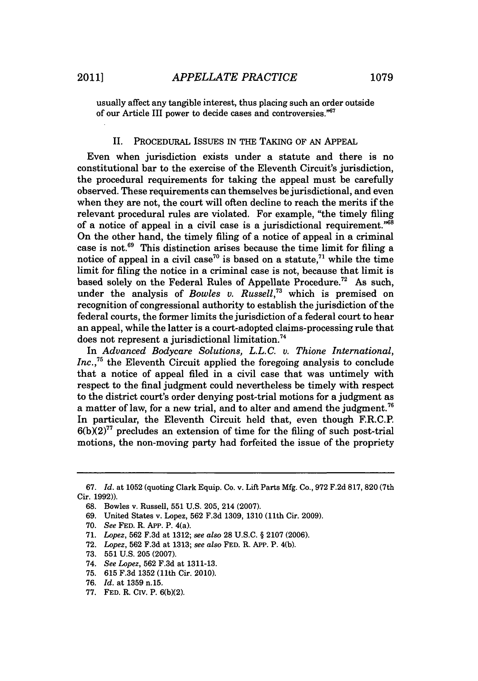usually affect any tangible interest, thus placing such an order outside of our Article III power to decide cases and controversies."67

### II. PROCEDURAL **ISSUES** IN THE TAKING OF **AN APPEAL**

Even when jurisdiction exists under a statute and there is no constitutional bar to the exercise of the Eleventh Circuit's jurisdiction, the procedural requirements for taking the appeal must be carefully observed. These requirements can themselves be jurisdictional, and even when they are not, the court will often decline to reach the merits if the relevant procedural rules are violated. For example, "the timely filing of a notice of appeal in a civil case is a jurisdictional requirement." $68$ On the other hand, the timely filing of a notice of appeal in a criminal case is not.<sup>69</sup> This distinction arises because the time limit for filing a notice of appeal in a civil case<sup>70</sup> is based on a statute,<sup>71</sup> while the time limit for filing the notice in a criminal case is not, because that limit is based solely on the Federal Rules of Appellate Procedure." **As** such, under the analysis of *Bowles v. Russell*,<sup>73</sup> which is premised on recognition of congressional authority to establish the jurisdiction of the federal courts, the former limits the jurisdiction of a federal court to hear an appeal, while the latter is a court-adopted claims-processing rule that does not represent a jurisdictional limitation."

In *Advanced Bodycare Solutions, L.L.C. v. Thione International,* Inc.,<sup>75</sup> the Eleventh Circuit applied the foregoing analysis to conclude that a notice of appeal filed in a civil case that was untimely with respect to the final judgment could nevertheless be timely with respect to the district court's order denying post-trial motions for a judgment as a matter of law, for a new trial, and to alter and amend the judgment." In particular, the Eleventh Circuit held that, even though F.R.C.P.  $6(b)(2)^{77}$  precludes an extension of time for the filing of such post-trial motions, the non-moving party had forfeited the issue of the propriety

*<sup>67.</sup> Id.* at **1052** (quoting Clark Equip. Co. v. Lift Parts **Mfg.** Co., **972 F.2d 817, 820** (7th Cir. **1992)).**

**<sup>68.</sup>** Bowles v. Russell, **551 U.S. 205,** 214 **(2007).**

**<sup>69.</sup>** United States v. Lopez, **562 F.3d 1309, 1310** (11th Cir. **2009).**

**<sup>70.</sup>** *See* **FED.** R. **APP.** P. 4(a).

**<sup>71.</sup>** *Lopez,* **562 F.3d** at **1312;** *see also* **28 U.S.C.** *§* **2107 (2006).**

**<sup>72.</sup>** *Lopez,* **562 F.3d** at **1313;** *see also* **FED.** R. APP. P. 4(b).

**<sup>73. 551</sup> U.S. 205 (2007).**

<sup>74.</sup> *See Lopez,* **562 F.3d** at **1311-13.**

**<sup>75. 615</sup> F.3d 1352** (11th Cir. 2010).

**<sup>76.</sup>** *Id.* at **1359** n.15.

<sup>77.</sup> FED. R. CIV. P.  $6(b)(2)$ .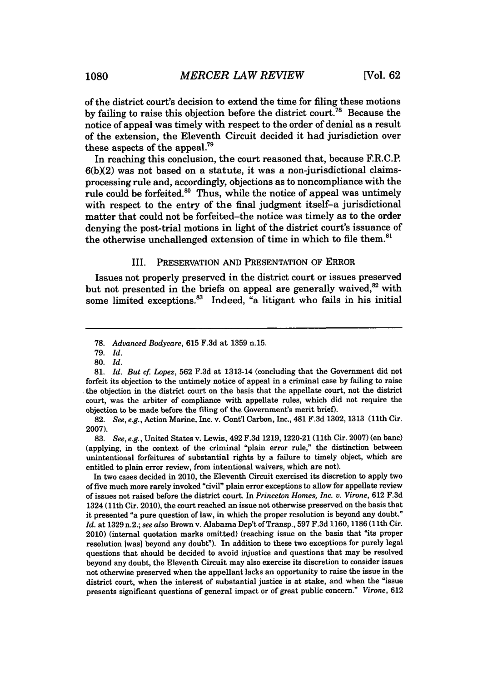of the district court's decision to extend the time for filing these motions **by** failing to raise this objection before the district court.7" Because the notice of appeal was timely with respect to the order of denial as a result of the extension, the Eleventh Circuit decided it had jurisdiction over these aspects of the appeal.<sup>79</sup>

In reaching this conclusion, the court reasoned that, because F.R.C.P. **6(bX2)** was not based on a statute, it was a non-jurisdictional claimsprocessing rule and, accordingly, objections as to noncompliance with the rule could be forfeited.<sup>80</sup> Thus, while the notice of appeal was untimely with respect to the entry of the final judgment itself-a jurisdictional matter that could not be forfeited-the notice was timely as to the order denying the post-trial motions in light of the district court's issuance of the otherwise unchallenged extension of time in which to file them.<sup>81</sup>

### III. PRESERVATION **AND PRESENTATION** OF ERROR

Issues not properly preserved in the district court or issues preserved but not presented in the briefs on appeal are generally waived,<sup>82</sup> with some limited exceptions.<sup>83</sup> Indeed, "a litigant who fails in his initial

**82.** *See, e.g.,* Action Marine, Inc. v. Cont'l Carbon, Inc., 481 **F.3d 1302, 1313** (11th Cir. **2007).**

*83. See, e.g.,* United States v. Lewis, 492 **F.3d 1219, 1220-21** (11th Cir. **2007)** (en banc) (applying, in the context of the criminal "plain error rule," the distinction between unintentional forfeitures of substantial rights **by** a failure to timely object, which are entitled to plain error review, from intentional waivers, which are not).

In two cases decided in 2010, the Eleventh Circuit exercised its discretion to apply two of five much more rarely invoked "civil" plain error exceptions to allow for appellate review of issues not raised before the district court. In *Princeton Homes, Inc. v. Virone,* **612 F.3d** 1324 (11th Cir. 2010), the court reached an issue not otherwise preserved on the basis that it presented "a pure question of law, in which the proper resolution is beyond any doubt." *Id.* at **1329** n.2.; *see also* Brown v. Alabama Dep't of Transp., **597 F.3d 1160, 1186** (11th Cir. 2010) (internal quotation marks omitted) (reaching issue on the basis that "its proper resolution Iwas] beyond any doubt"). In addition to these two exceptions for purely legal questions that should be decided to avoid injustice and questions that may be resolved beyond any doubt, the Eleventh Circuit may also exercise its discretion to consider issues not otherwise preserved when the appellant lacks an opportunity to raise the issue in the district court, when the interest of substantial justice is at stake, and when the "issue presents significant questions of general impact or of great public concern." *Virone,* **612**

**<sup>78.</sup>** *Advanced Bodycare,* **615 F.3d** at **1359** n.15.

*<sup>79.</sup> Id.*

**<sup>80.</sup>** *Id.*

**<sup>81.</sup>** *Id. But cf Lopez,* **562 F.3d** at 1313-14 (concluding that the Government did not forfeit its objection to the untimely notice of appeal in a criminal case **by** failing to raise the objection in the district court on the basis that the appellate court, not the district court, was the arbiter of compliance with appellate rules, which did not require the objection to be made before the filing of the Government's merit brief).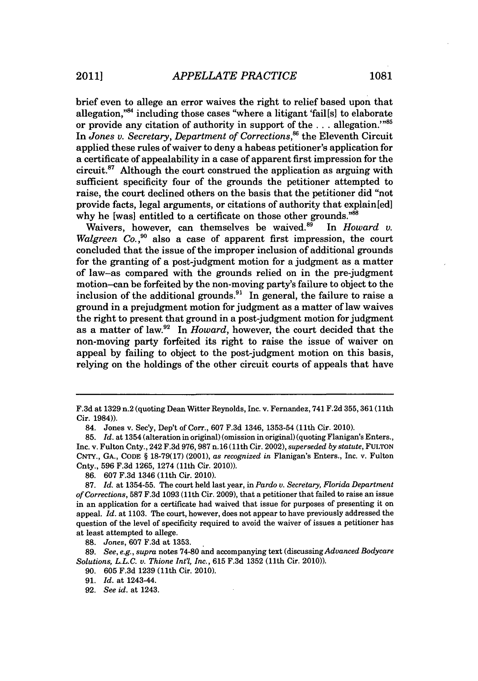brief even to allege an error waives the right to relief based upon that allegation," $84$  including those cases "where a litigant 'fail [s] to elaborate or provide any citation of authority in support of the **. . .** allegation.""' In *Jones v. Secretary, Department of Corrections,"* the Eleventh Circuit applied these rules of waiver to deny a habeas petitioner's application for a certificate of appealability in a case of apparent first impression for the circuit. $87$  Although the court construed the application as arguing with sufficient specificity four of the grounds the petitioner attempted to raise, the court declined others on the basis that the petitioner did "not provide facts, legal arguments, or citations of authority that explain[ed] why he [was] entitled to a certificate on those other grounds."88

Waivers, however, can themselves be waived.<sup>89</sup> In *Howard v. Walgreen Co.*<sup>90</sup> also a case of apparent first impression, the court concluded that the issue of the improper inclusion of additional grounds for the granting of a post-judgment motion for a judgment as a matter of law-as compared with the grounds relied on in the pre-judgment motion-can be forfeited **by** the non-moving party's failure to object to the inclusion of the additional grounds.<sup>91</sup> In general, the failure to raise a ground in a prejudgment motion for judgment as a matter of law waives the right to present that ground in a post-judgment motion for judgment as a matter of law.92 In *Howard,* however, the court decided that the non-moving party forfeited its right to raise the issue of waiver on appeal **by** failing to object to the post-judgment motion on this basis, relying on the holdings of the other circuit courts of appeals that have

**F.3d** at 1329 n.2 (quoting Dean Witter Reynolds, Inc. v. Fernandez, 741 **F.2d 355,** 361(11th Cir. 1984)).

<sup>84.</sup> Jones v. Sec'y, Dep't of Corr., **607 F.3d** 1346, **1353-54** (11th Cir. 2010).

**<sup>85.</sup>** *Id.* at 1354 (alteration in original) (omission in original) (quoting Flanigan's Enters., Inc. v. Fulton Cnty., 242 **F.3d 976,987** n.16 (11th Cir. 2002), *superseded by statute,* **FULTON CNTY., GA.,** CODE **§ 18-79(17)** (2001), *as recognized in* Flanigan's Enters., Inc. v. Fulton Cnty., **596 F.3d 1265,** 1274 (11th Cir. 2010)).

**<sup>86. 607</sup> F.3d** 1346 (11th Cir. 2010).

**<sup>87.</sup>** *Id.* at **1354-55.** The court held last year, in *Pardo v. Secretary, Florida Department of Corrections,* **587 F.3d 1093** (11th Cir. **2009),** that a petitioner that failed to raise an issue in an application for a certificate had waived that issue for purposes of presenting it on appeal. *Id.* at **1103.** The court, however, does not appear to have previously addressed the question of the level of specificity required to avoid the waiver of issues a petitioner has at least attempted to allege.

**<sup>88.</sup>** *Jones,* **607 F.3d** at **1353.**

**<sup>89.</sup>** *See, e.g., supra* notes **74-80** and accompanying text (discussingAdvanced *Bodycare Solutions, L.L.C. v. Thione Int'l, Inc.,* **615 F.3d 1352** (11th Cir. 2010)).

**<sup>90. 605</sup> F.3d 1239** (11th Cir. 2010).

**<sup>91.</sup>** *Id.* at 1243-44.

**<sup>92.</sup>** *See id.* at 1243.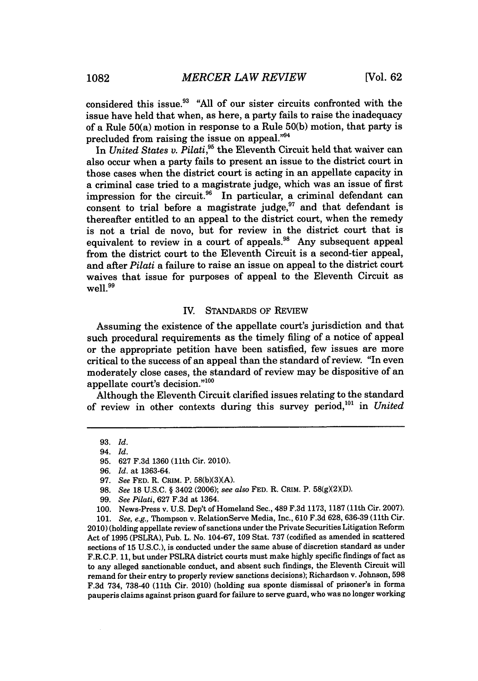considered this issue.93 **"All** of our sister circuits confronted with the issue have held that when, as here, a party fails to raise the inadequacy of a Rule 50(a) motion in response to a Rule **50(b)** motion, that party is precluded from raising the issue on appeal."<sup>94</sup>

In *United States v. Pilati*,<sup>35</sup> the Eleventh Circuit held that waiver can also occur when a party fails to present an issue to the district court in those cases when the district court is acting in an appellate capacity in a criminal case tried to a magistrate judge, which was an issue of first impression for the circuit.<sup>96</sup> In particular, a criminal defendant can consent to trial before a magistrate judge, $97$  and that defendant is thereafter entitled to an appeal to the district court, when the remedy is not a trial de novo, but for review in the district court that is equivalent to review in a court of appeals.<sup>98</sup> Any subsequent appeal from the district court to the Eleventh Circuit is a second-tier appeal, and after *Pilati* a failure to raise an issue on appeal to the district court waives that issue for purposes of appeal to the Eleventh Circuit as well.<sup>99</sup>

#### IV. **STANDARDS** OF REVIEW

Assuming the existence of the appellate court's jurisdiction and that such procedural requirements as the timely filing of a notice of appeal or the appropriate petition have been satisfied, few issues are more critical to the success of an appeal than the standard of review. "In even moderately close cases, the standard of review may be dispositive of an appellate court's decision."<sup>100</sup>

Although the Eleventh Circuit clarified issues relating to the standard of review in other contexts during this survey period,'0' in *United*

**101.** *See, e.g.,* Thompson v. RelationServe Media, Inc., **610 F.3d 628, 636-39** (11th Cir. **2010)** (holding appellate review of sanctions under the Private Securities Litigation Reform Act of **1995** (PSLRA), Pub. L. No. 104-67, **109** Stat. **737** (codified as amended in scattered sections of **15 U.S.C.),** is conducted under the same abuse of discretion standard as under F.R.C.P. **11,** but under PSLRA district courts must make **highly** specific findings of fact as to any alleged sanctionable conduct, and absent such findings, the Eleventh Circuit will remand for their entry to properly review sanctions decisions); Richardson v. Johnson, **598 F.3d** 734, **738-40** (11th Cir. 2010) (holding sua sponte dismissal of prisoner's in forma pauperis claims against prison guard for failure to serve guard, who was no longer working

**<sup>93.</sup>** *Id.*

<sup>94.</sup> *Id.*

**<sup>95. 627</sup> F.3d 1360** (11th Cir. 2010).

*<sup>96.</sup> Id. at* **1363-64.**

<sup>97.</sup> *See FED. R. CRIM. P.*  $58(b)(3)(A)$ .

**<sup>98.</sup>** *See* **18 U.S.C. §** 3402 **(2006);** *see also* **FED.** R. CRIM. P. **58(gX2XD).**

**<sup>99.</sup>** *See Pilati,* **627 F.3d** at 1364.

**<sup>100.</sup>** News-Press v. **U.S.** Dep't of Homeland Sec., 489 **F.3d 1173, 1187** (11th Cir. **2007).**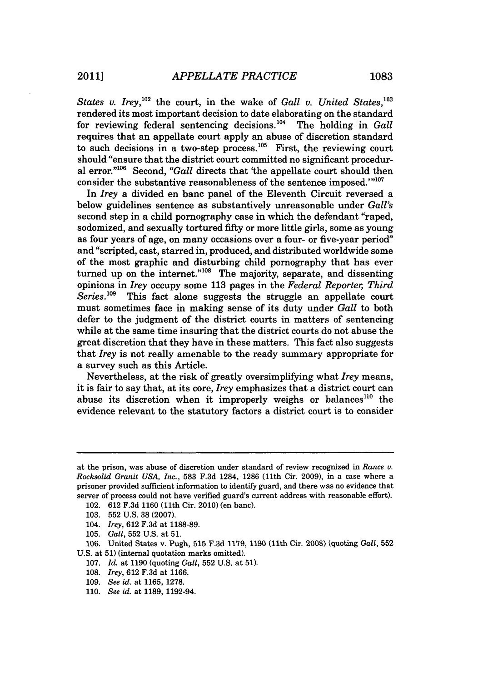*States v. Irey*,<sup>102</sup> the court, in the wake of *Gall v. United States*,<sup>103</sup> rendered its most important decision to date elaborating on the standard for reviewing federal sentencing decisions.<sup>104</sup> The holding in *Gall* requires that an appellate court apply an abuse of discretion standard to such decisions in a two-step process.<sup>105</sup> First, the reviewing court should "ensure that the district court committed no significant procedural error."<sup>106</sup> Second, "Gall directs that 'the appellate court should then consider the substantive reasonableness of the sentence imposed.""<sup>107</sup>

In *Irey* a divided en banc panel of the Eleventh Circuit reversed a below guidelines sentence as substantively unreasonable under *Gall's* second step in a child pornography case in which the defendant "raped, sodomized, and sexually tortured **fifty** or more little girls, some as young as four years of age, on many occasions over a four- or five-year period" and "scripted, cast, starred in, produced, and distributed worldwide some of the most graphic and disturbing child pornography that has ever turned up on the internet."<sup>108</sup> The majority, separate, and dissenting opinions in *Irey* occupy some **113** pages in the *Federal Reporter, Third* This fact alone suggests the struggle an appellate court must sometimes face in making sense of its duty under *Gall* to both defer to the judgment of the district courts in matters of sentencing while at the same time insuring that the district courts do not abuse the great discretion that they have in these matters. This fact also suggests that *Irey* is not really amenable to the ready summary appropriate for a survey such as this Article.

Nevertheless, at the risk of greatly oversimplifying what *Irey* means, it is fair to say that, at its core, *Irey* emphasizes that a district court can abuse its discretion when it improperly weighs or balances<sup>110</sup> the evidence relevant to the statutory factors a district court is to consider

at the prison, was abuse of discretion under standard of review recognized in *Rance v. Rocksolid Granit USA, Inc.,* **583 F.3d** 1284, **1286** (11th Cir. **2009),** in a case where a prisoner provided sufficient information to identify guard, and there was no evidence that server of process could not have verified guard's current address with reasonable effort).

<sup>102.</sup> **612 F.3d 1160** (11th Cir. 2010) (en banc).

**<sup>103. 552</sup> U.S. 38 (2007).**

<sup>104.</sup> *Irey,* **612 F.3d** at **1188-89.**

**<sup>105.</sup>** *Gall,* **552 U.S.** at **51.**

**<sup>106.</sup>** United States v. Pugh, **515 F.3d 1179, 1190** (11th Cir. 2008) (quoting *Gall,* **552 U.S.** at **51)** (internal quotation marks omitted).

**<sup>107.</sup>** *Id.* at **1190** (quoting *Gall,* **552 U.S.** at **51).**

*<sup>108.</sup> Irey,* **612 F.3d** at **1166.**

**<sup>109.</sup>** *See id.* at **1165, 1278.**

**<sup>110.</sup>** *See id.* at **1189,** 1192-94.